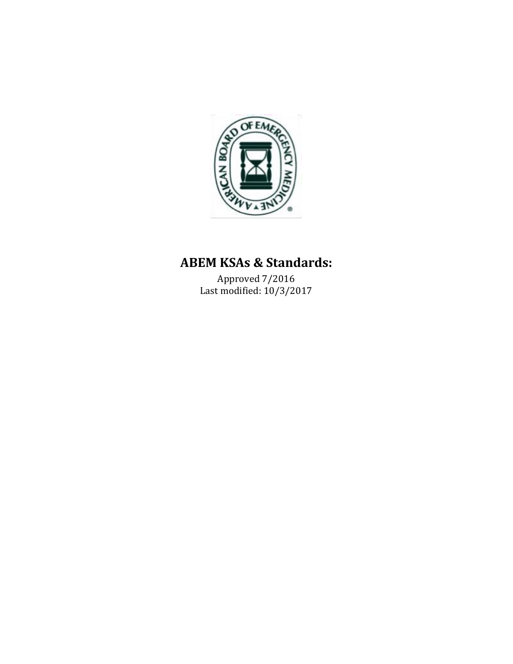

# **ABEM KSAs & Standards:**

Approved 7/2016 Last modified: 10/3/2017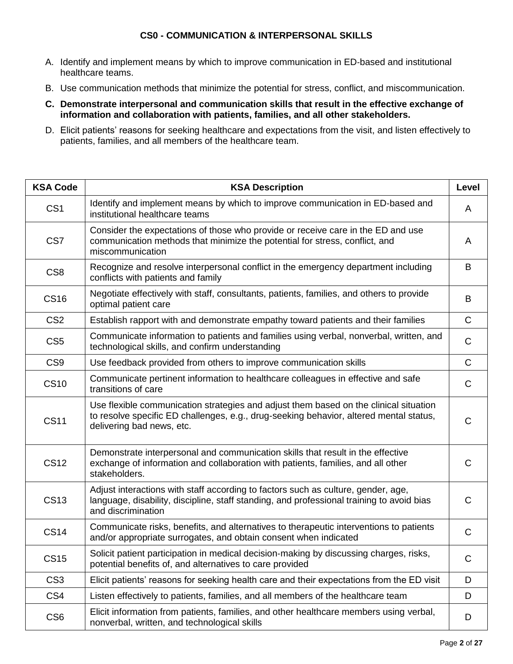## **CS0 - COMMUNICATION & INTERPERSONAL SKILLS**

- A. Identify and implement means by which to improve communication in ED‐based and institutional healthcare teams.
- B. Use communication methods that minimize the potential for stress, conflict, and miscommunication.
- **C. Demonstrate interpersonal and communication skills that result in the effective exchange of information and collaboration with patients, families, and all other stakeholders.**
- D. Elicit patients' reasons for seeking healthcare and expectations from the visit, and listen effectively to patients, families, and all members of the healthcare team.

| <b>KSA Code</b> | <b>KSA Description</b>                                                                                                                                                                                       | <b>Level</b> |
|-----------------|--------------------------------------------------------------------------------------------------------------------------------------------------------------------------------------------------------------|--------------|
| CS <sub>1</sub> | Identify and implement means by which to improve communication in ED-based and<br>institutional healthcare teams                                                                                             | A            |
| CS7             | Consider the expectations of those who provide or receive care in the ED and use<br>communication methods that minimize the potential for stress, conflict, and<br>miscommunication                          | A            |
| CS <sub>8</sub> | Recognize and resolve interpersonal conflict in the emergency department including<br>conflicts with patients and family                                                                                     | B            |
| <b>CS16</b>     | Negotiate effectively with staff, consultants, patients, families, and others to provide<br>optimal patient care                                                                                             | B            |
| CS <sub>2</sub> | Establish rapport with and demonstrate empathy toward patients and their families                                                                                                                            | $\mathsf C$  |
| CS <sub>5</sub> | Communicate information to patients and families using verbal, nonverbal, written, and<br>technological skills, and confirm understanding                                                                    | $\mathsf C$  |
| CS <sub>9</sub> | Use feedback provided from others to improve communication skills                                                                                                                                            | $\mathsf{C}$ |
| <b>CS10</b>     | Communicate pertinent information to healthcare colleagues in effective and safe<br>transitions of care                                                                                                      | $\mathsf C$  |
| <b>CS11</b>     | Use flexible communication strategies and adjust them based on the clinical situation<br>to resolve specific ED challenges, e.g., drug-seeking behavior, altered mental status,<br>delivering bad news, etc. | $\mathsf{C}$ |
| <b>CS12</b>     | Demonstrate interpersonal and communication skills that result in the effective<br>exchange of information and collaboration with patients, families, and all other<br>stakeholders.                         | C            |
| <b>CS13</b>     | Adjust interactions with staff according to factors such as culture, gender, age,<br>language, disability, discipline, staff standing, and professional training to avoid bias<br>and discrimination         | C            |
| <b>CS14</b>     | Communicate risks, benefits, and alternatives to therapeutic interventions to patients<br>and/or appropriate surrogates, and obtain consent when indicated                                                   | C            |
| <b>CS15</b>     | Solicit patient participation in medical decision-making by discussing charges, risks,<br>potential benefits of, and alternatives to care provided                                                           | С            |
| CS <sub>3</sub> | Elicit patients' reasons for seeking health care and their expectations from the ED visit                                                                                                                    | D            |
| CS <sub>4</sub> | Listen effectively to patients, families, and all members of the healthcare team                                                                                                                             | D            |
| CS <sub>6</sub> | Elicit information from patients, families, and other healthcare members using verbal,<br>nonverbal, written, and technological skills                                                                       | D            |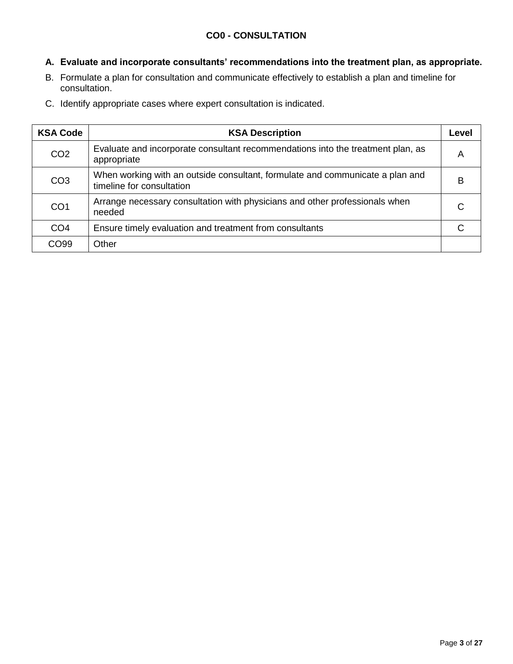## **CO0 - CONSULTATION**

# **A. Evaluate and incorporate consultants' recommendations into the treatment plan, as appropriate.**

- B. Formulate a plan for consultation and communicate effectively to establish a plan and timeline for consultation.
- C. Identify appropriate cases where expert consultation is indicated.

| <b>KSA Code</b> | <b>KSA Description</b>                                                                                     | Level |
|-----------------|------------------------------------------------------------------------------------------------------------|-------|
| CO <sub>2</sub> | Evaluate and incorporate consultant recommendations into the treatment plan, as<br>appropriate             | Α     |
| CO <sub>3</sub> | When working with an outside consultant, formulate and communicate a plan and<br>timeline for consultation | в     |
| CO <sub>1</sub> | Arrange necessary consultation with physicians and other professionals when<br>needed                      | C     |
| CO <sub>4</sub> | Ensure timely evaluation and treatment from consultants                                                    | ◠     |
| CO99            | Other                                                                                                      |       |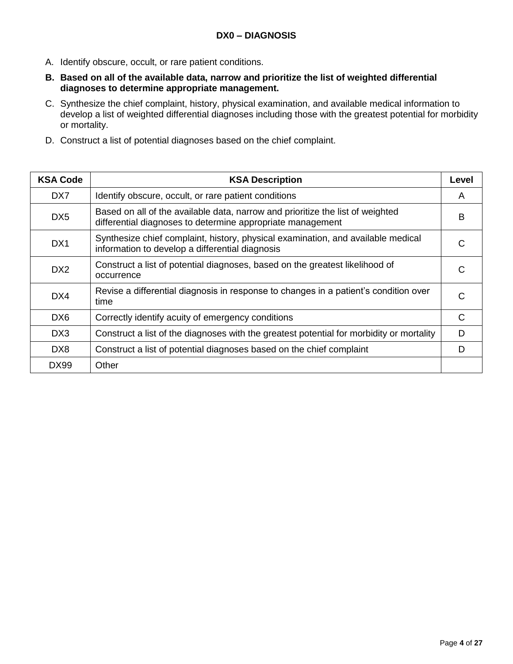- A. Identify obscure, occult, or rare patient conditions.
- **B. Based on all of the available data, narrow and prioritize the list of weighted differential diagnoses to determine appropriate management.**
- C. Synthesize the chief complaint, history, physical examination, and available medical information to develop a list of weighted differential diagnoses including those with the greatest potential for morbidity or mortality.
- D. Construct a list of potential diagnoses based on the chief complaint.

| <b>KSA Code</b>  | <b>KSA Description</b>                                                                                                                       | Level |
|------------------|----------------------------------------------------------------------------------------------------------------------------------------------|-------|
| DX7              | Identify obscure, occult, or rare patient conditions                                                                                         | A     |
| DX <sub>5</sub>  | Based on all of the available data, narrow and prioritize the list of weighted<br>differential diagnoses to determine appropriate management | B     |
| D <sub>X</sub> 1 | Synthesize chief complaint, history, physical examination, and available medical<br>information to develop a differential diagnosis          |       |
| D <sub>X2</sub>  | Construct a list of potential diagnoses, based on the greatest likelihood of<br>occurrence                                                   |       |
| DX4              | Revise a differential diagnosis in response to changes in a patient's condition over<br>time                                                 | C     |
| DX <sub>6</sub>  | Correctly identify acuity of emergency conditions                                                                                            | C     |
| DX <sub>3</sub>  | Construct a list of the diagnoses with the greatest potential for morbidity or mortality                                                     | D     |
| DX8              | Construct a list of potential diagnoses based on the chief complaint                                                                         | D     |
| DX99             | Other                                                                                                                                        |       |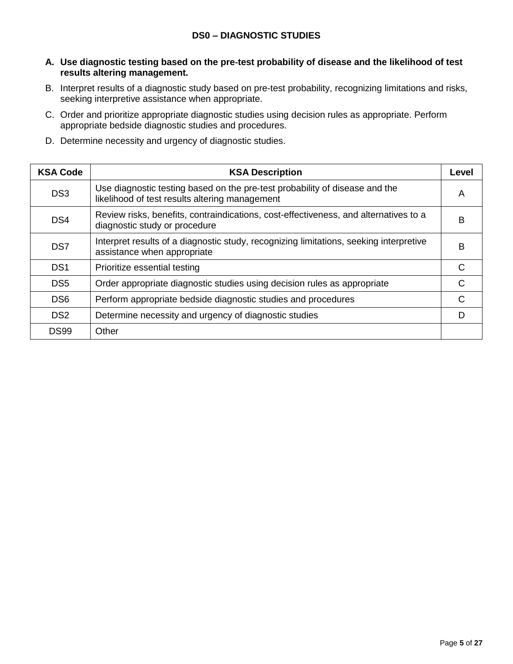## **DS0 – DIAGNOSTIC STUDIES**

- **A. Use diagnostic testing based on the pre**‐**test probability of disease and the likelihood of test results altering management.**
- B. Interpret results of a diagnostic study based on pre-test probability, recognizing limitations and risks, seeking interpretive assistance when appropriate.
- C. Order and prioritize appropriate diagnostic studies using decision rules as appropriate. Perform appropriate bedside diagnostic studies and procedures.
- D. Determine necessity and urgency of diagnostic studies.

| <b>KSA Code</b> | <b>KSA Description</b>                                                                                                        | Level |
|-----------------|-------------------------------------------------------------------------------------------------------------------------------|-------|
| DS <sub>3</sub> | Use diagnostic testing based on the pre-test probability of disease and the<br>likelihood of test results altering management | A     |
| DS4             | Review risks, benefits, contraindications, cost-effectiveness, and alternatives to a<br>diagnostic study or procedure         | в     |
| DS7             | Interpret results of a diagnostic study, recognizing limitations, seeking interpretive<br>assistance when appropriate         | в     |
| DS <sub>1</sub> | Prioritize essential testing                                                                                                  |       |
| DS <sub>5</sub> | Order appropriate diagnostic studies using decision rules as appropriate                                                      |       |
| DS <sub>6</sub> | Perform appropriate bedside diagnostic studies and procedures                                                                 |       |
| DS <sub>2</sub> | Determine necessity and urgency of diagnostic studies                                                                         |       |
| <b>DS99</b>     | Other                                                                                                                         |       |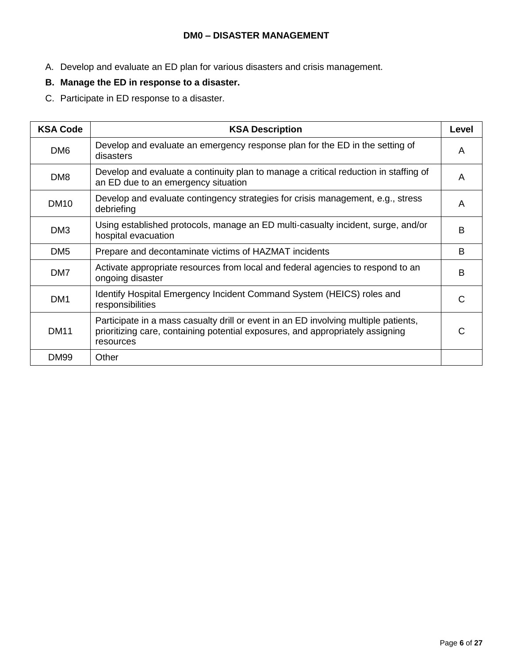#### **DM0 – DISASTER MANAGEMENT**

- A. Develop and evaluate an ED plan for various disasters and crisis management.
- **B. Manage the ED in response to a disaster.**
- C. Participate in ED response to a disaster.

| <b>KSA Code</b> | <b>KSA Description</b>                                                                                                                                                             | Level |
|-----------------|------------------------------------------------------------------------------------------------------------------------------------------------------------------------------------|-------|
| DM <sub>6</sub> | Develop and evaluate an emergency response plan for the ED in the setting of<br>disasters                                                                                          | A     |
| DM <sub>8</sub> | Develop and evaluate a continuity plan to manage a critical reduction in staffing of<br>an ED due to an emergency situation                                                        | A     |
| <b>DM10</b>     | Develop and evaluate contingency strategies for crisis management, e.g., stress<br>debriefing                                                                                      | A     |
| DM <sub>3</sub> | Using established protocols, manage an ED multi-casualty incident, surge, and/or<br>hospital evacuation                                                                            | B     |
| DM <sub>5</sub> | Prepare and decontaminate victims of HAZMAT incidents                                                                                                                              | B     |
| DM7             | Activate appropriate resources from local and federal agencies to respond to an<br>ongoing disaster                                                                                | B     |
| DM <sub>1</sub> | Identify Hospital Emergency Incident Command System (HEICS) roles and<br>responsibilities                                                                                          | C     |
| <b>DM11</b>     | Participate in a mass casualty drill or event in an ED involving multiple patients,<br>prioritizing care, containing potential exposures, and appropriately assigning<br>resources | C     |
| <b>DM99</b>     | Other                                                                                                                                                                              |       |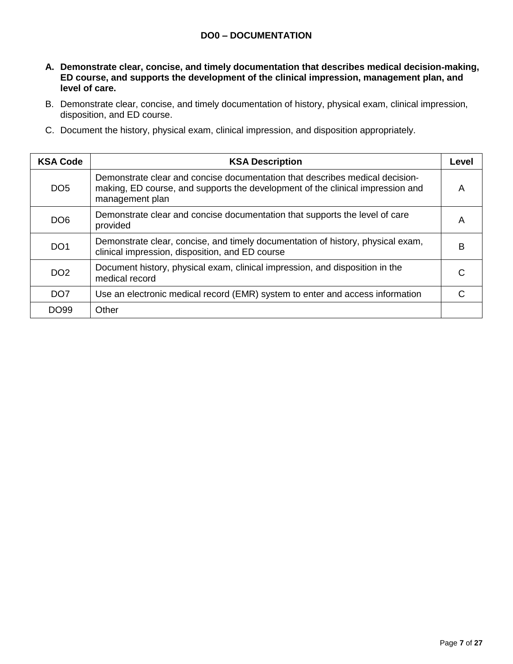#### **DO0 – DOCUMENTATION**

- **A. Demonstrate clear, concise, and timely documentation that describes medical decision**‐**making, ED course, and supports the development of the clinical impression, management plan, and level of care.**
- B. Demonstrate clear, concise, and timely documentation of history, physical exam, clinical impression, disposition, and ED course.
- C. Document the history, physical exam, clinical impression, and disposition appropriately.

| <b>KSA Code</b>  | <b>KSA Description</b>                                                                                                                                                            | Level |
|------------------|-----------------------------------------------------------------------------------------------------------------------------------------------------------------------------------|-------|
| DO <sub>5</sub>  | Demonstrate clear and concise documentation that describes medical decision-<br>making, ED course, and supports the development of the clinical impression and<br>management plan | A     |
| DO <sub>6</sub>  | Demonstrate clear and concise documentation that supports the level of care<br>provided                                                                                           | А     |
| DO <sub>1</sub>  | Demonstrate clear, concise, and timely documentation of history, physical exam,<br>clinical impression, disposition, and ED course                                                | B     |
| DO <sub>2</sub>  | Document history, physical exam, clinical impression, and disposition in the<br>medical record                                                                                    |       |
| DO <sub>7</sub>  | Use an electronic medical record (EMR) system to enter and access information                                                                                                     |       |
| DO <sub>99</sub> | Other                                                                                                                                                                             |       |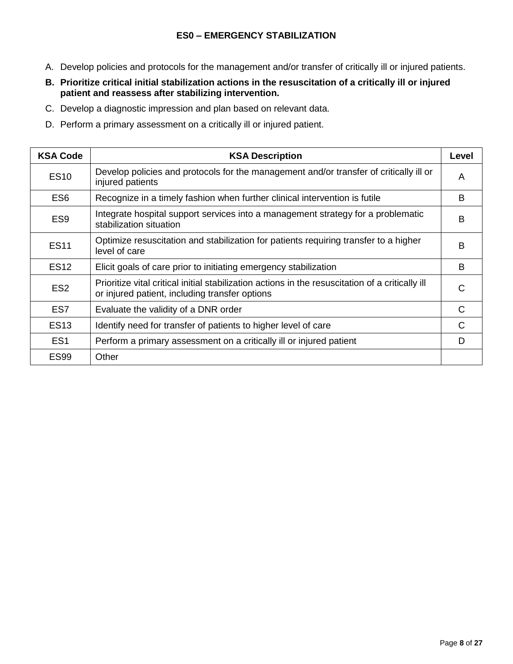- A. Develop policies and protocols for the management and/or transfer of critically ill or injured patients.
- **B. Prioritize critical initial stabilization actions in the resuscitation of a critically ill or injured patient and reassess after stabilizing intervention.**
- C. Develop a diagnostic impression and plan based on relevant data.
- D. Perform a primary assessment on a critically ill or injured patient.

| <b>KSA Code</b> | <b>KSA Description</b>                                                                                                                             | Level        |
|-----------------|----------------------------------------------------------------------------------------------------------------------------------------------------|--------------|
| <b>ES10</b>     | Develop policies and protocols for the management and/or transfer of critically ill or<br>injured patients                                         | A            |
| ES <sub>6</sub> | Recognize in a timely fashion when further clinical intervention is futile                                                                         | B            |
| ES <sub>9</sub> | Integrate hospital support services into a management strategy for a problematic<br>stabilization situation                                        | в            |
| <b>ES11</b>     | Optimize resuscitation and stabilization for patients requiring transfer to a higher<br>level of care                                              | B            |
| <b>ES12</b>     | Elicit goals of care prior to initiating emergency stabilization                                                                                   | B            |
| ES <sub>2</sub> | Prioritize vital critical initial stabilization actions in the resuscitation of a critically ill<br>or injured patient, including transfer options | $\mathsf{C}$ |
| ES <sub>7</sub> | Evaluate the validity of a DNR order                                                                                                               | C            |
| <b>ES13</b>     | Identify need for transfer of patients to higher level of care                                                                                     | C            |
| ES <sub>1</sub> | Perform a primary assessment on a critically ill or injured patient                                                                                | D            |
| <b>ES99</b>     | Other                                                                                                                                              |              |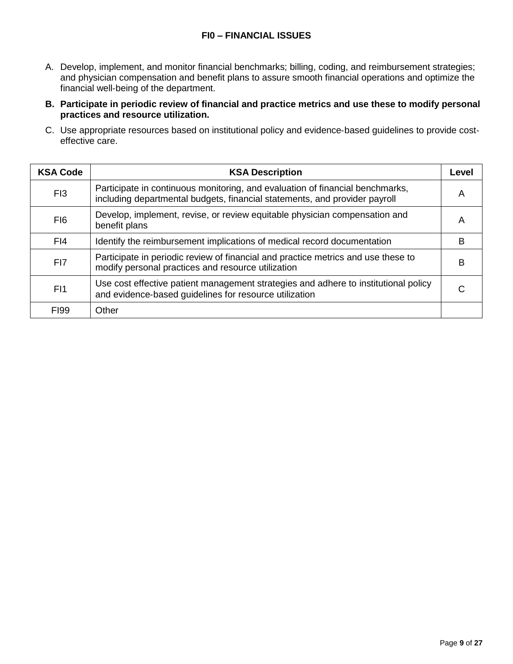#### **FI0 – FINANCIAL ISSUES**

- A. Develop, implement, and monitor financial benchmarks; billing, coding, and reimbursement strategies; and physician compensation and benefit plans to assure smooth financial operations and optimize the financial well-being of the department.
- **B. Participate in periodic review of financial and practice metrics and use these to modify personal practices and resource utilization.**
- C. Use appropriate resources based on institutional policy and evidence‐based guidelines to provide cost‐ effective care.

| <b>KSA Code</b> | <b>KSA Description</b>                                                                                                                                      | Level |
|-----------------|-------------------------------------------------------------------------------------------------------------------------------------------------------------|-------|
| FI <sub>3</sub> | Participate in continuous monitoring, and evaluation of financial benchmarks,<br>including departmental budgets, financial statements, and provider payroll | A     |
| F <sub>I6</sub> | Develop, implement, revise, or review equitable physician compensation and<br>benefit plans                                                                 | Α     |
| FI4             | Identify the reimbursement implications of medical record documentation                                                                                     | в     |
| FI7             | Participate in periodic review of financial and practice metrics and use these to<br>modify personal practices and resource utilization                     | в     |
| F <sub>1</sub>  | Use cost effective patient management strategies and adhere to institutional policy<br>and evidence-based guidelines for resource utilization               |       |
| <b>FI99</b>     | Other                                                                                                                                                       |       |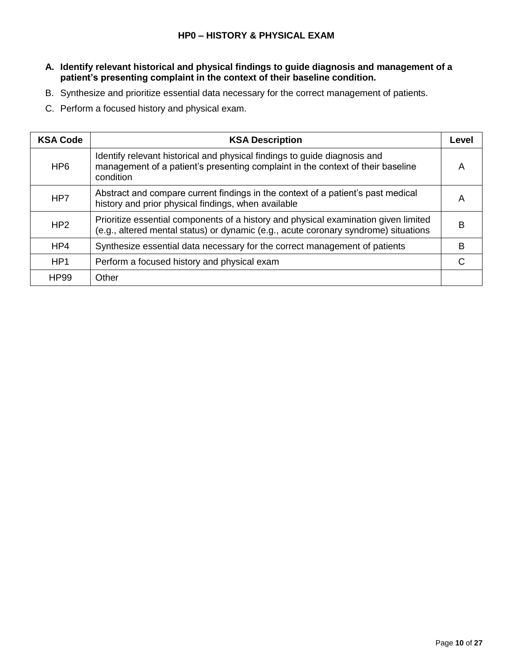- **A. Identify relevant historical and physical findings to guide diagnosis and management of a patient's presenting complaint in the context of their baseline condition.**
- B. Synthesize and prioritize essential data necessary for the correct management of patients.
- C. Perform a focused history and physical exam.

| <b>KSA Code</b> | <b>KSA Description</b>                                                                                                                                                     | Level |
|-----------------|----------------------------------------------------------------------------------------------------------------------------------------------------------------------------|-------|
| HP <sub>6</sub> | Identify relevant historical and physical findings to guide diagnosis and<br>management of a patient's presenting complaint in the context of their baseline<br>condition  | A     |
| HP7             | Abstract and compare current findings in the context of a patient's past medical<br>history and prior physical findings, when available                                    | А     |
| HP2             | Prioritize essential components of a history and physical examination given limited<br>(e.g., altered mental status) or dynamic (e.g., acute coronary syndrome) situations | в     |
| HP4             | Synthesize essential data necessary for the correct management of patients                                                                                                 | B     |
| HP <sub>1</sub> | Perform a focused history and physical exam                                                                                                                                | ⌒     |
| <b>HP99</b>     | Other                                                                                                                                                                      |       |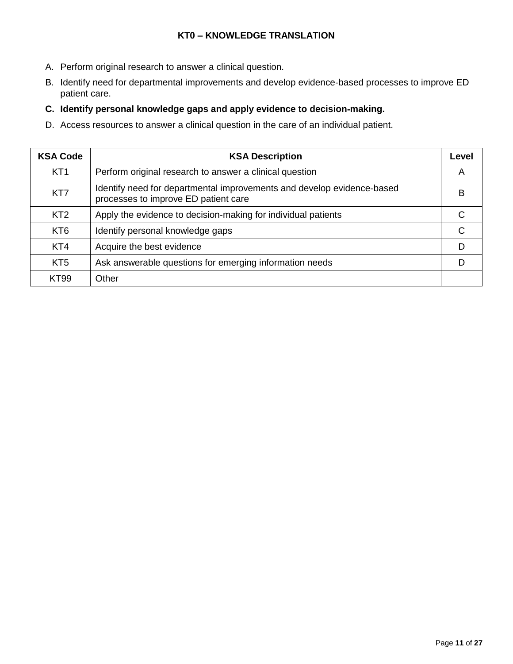# **KT0 – KNOWLEDGE TRANSLATION**

- A. Perform original research to answer a clinical question.
- B. Identify need for departmental improvements and develop evidence‐based processes to improve ED patient care.

## **C. Identify personal knowledge gaps and apply evidence to decision**‐**making.**

D. Access resources to answer a clinical question in the care of an individual patient.

| <b>KSA Code</b> | <b>KSA Description</b>                                                                                         | Level |
|-----------------|----------------------------------------------------------------------------------------------------------------|-------|
| KT <sub>1</sub> | Perform original research to answer a clinical question                                                        | A     |
| KT7             | Identify need for departmental improvements and develop evidence-based<br>processes to improve ED patient care | в     |
| KT <sub>2</sub> | Apply the evidence to decision-making for individual patients                                                  |       |
| KT <sub>6</sub> | Identify personal knowledge gaps                                                                               | C     |
| KT4             | Acquire the best evidence                                                                                      |       |
| KT <sub>5</sub> | Ask answerable questions for emerging information needs                                                        |       |
| <b>KT99</b>     | Other                                                                                                          |       |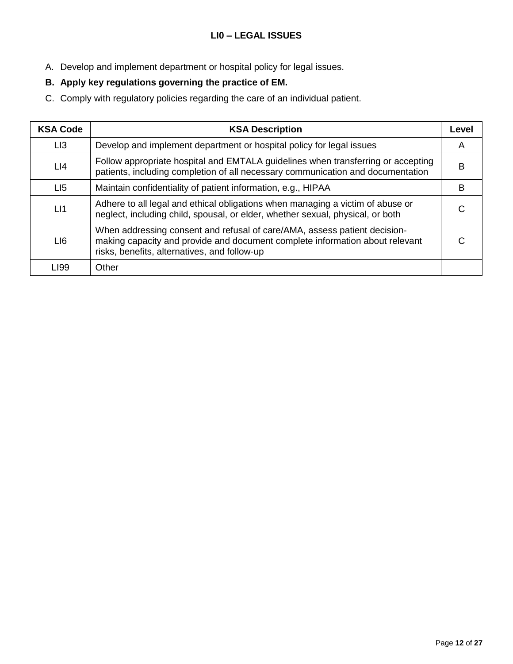- A. Develop and implement department or hospital policy for legal issues.
- **B. Apply key regulations governing the practice of EM.**
- C. Comply with regulatory policies regarding the care of an individual patient.

| <b>KSA Code</b> | <b>KSA Description</b>                                                                                                                                                                                    | Level |
|-----------------|-----------------------------------------------------------------------------------------------------------------------------------------------------------------------------------------------------------|-------|
| LI3             | Develop and implement department or hospital policy for legal issues                                                                                                                                      | A     |
| LI4             | Follow appropriate hospital and EMTALA guidelines when transferring or accepting<br>patients, including completion of all necessary communication and documentation                                       | в     |
| LI <sub>5</sub> | Maintain confidentiality of patient information, e.g., HIPAA                                                                                                                                              | в     |
| LI              | Adhere to all legal and ethical obligations when managing a victim of abuse or<br>neglect, including child, spousal, or elder, whether sexual, physical, or both                                          |       |
| LI6             | When addressing consent and refusal of care/AMA, assess patient decision-<br>making capacity and provide and document complete information about relevant<br>risks, benefits, alternatives, and follow-up | C     |
| LI99            | Other                                                                                                                                                                                                     |       |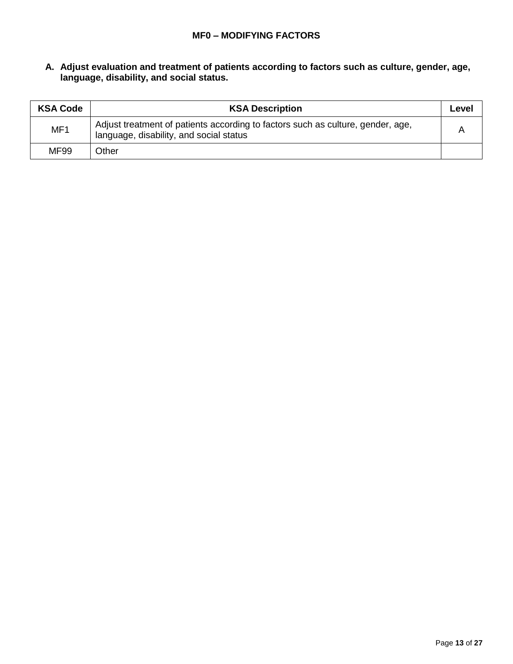#### **A. Adjust evaluation and treatment of patients according to factors such as culture, gender, age, language, disability, and social status.**

| <b>KSA Code</b> | <b>KSA Description</b>                                                                                                     | Level |
|-----------------|----------------------------------------------------------------------------------------------------------------------------|-------|
| MF <sub>1</sub> | Adjust treatment of patients according to factors such as culture, gender, age,<br>language, disability, and social status |       |
| MF99            | Other                                                                                                                      |       |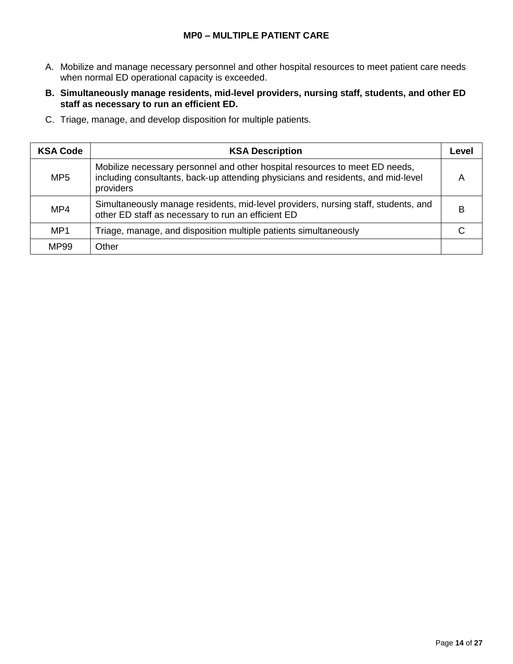#### **MP0 – MULTIPLE PATIENT CARE**

- A. Mobilize and manage necessary personnel and other hospital resources to meet patient care needs when normal ED operational capacity is exceeded.
- **B. Simultaneously manage residents, mid**‐**level providers, nursing staff, students, and other ED staff as necessary to run an efficient ED.**
- C. Triage, manage, and develop disposition for multiple patients.

| <b>KSA Code</b> | <b>KSA Description</b>                                                                                                                                                       | Level |
|-----------------|------------------------------------------------------------------------------------------------------------------------------------------------------------------------------|-------|
| MP <sub>5</sub> | Mobilize necessary personnel and other hospital resources to meet ED needs,<br>including consultants, back-up attending physicians and residents, and mid-level<br>providers |       |
| MP4             | Simultaneously manage residents, mid-level providers, nursing staff, students, and<br>other ED staff as necessary to run an efficient ED                                     | в     |
| MP <sub>1</sub> | Triage, manage, and disposition multiple patients simultaneously                                                                                                             |       |
| MP99            | Other                                                                                                                                                                        |       |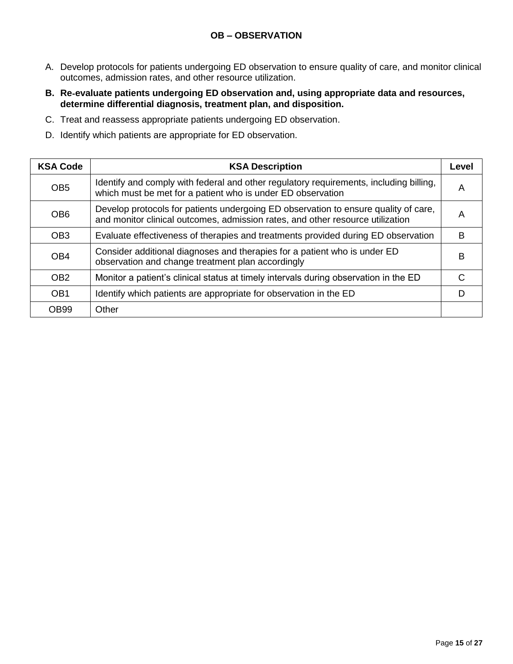#### **OB – OBSERVATION**

- A. Develop protocols for patients undergoing ED observation to ensure quality of care, and monitor clinical outcomes, admission rates, and other resource utilization.
- **B. Re**‐**evaluate patients undergoing ED observation and, using appropriate data and resources, determine differential diagnosis, treatment plan, and disposition.**
- C. Treat and reassess appropriate patients undergoing ED observation.
- D. Identify which patients are appropriate for ED observation.

| <b>KSA Code</b> | <b>KSA Description</b>                                                                                                                                                | Level |
|-----------------|-----------------------------------------------------------------------------------------------------------------------------------------------------------------------|-------|
| OB <sub>5</sub> | Identify and comply with federal and other regulatory requirements, including billing,<br>which must be met for a patient who is under ED observation                 | A     |
| OB <sub>6</sub> | Develop protocols for patients undergoing ED observation to ensure quality of care,<br>and monitor clinical outcomes, admission rates, and other resource utilization | A     |
| OB <sub>3</sub> | Evaluate effectiveness of therapies and treatments provided during ED observation                                                                                     | B     |
| OB <sub>4</sub> | Consider additional diagnoses and therapies for a patient who is under ED<br>observation and change treatment plan accordingly                                        | B     |
| OB <sub>2</sub> | Monitor a patient's clinical status at timely intervals during observation in the ED                                                                                  | C     |
| OB <sub>1</sub> | Identify which patients are appropriate for observation in the ED                                                                                                     | D     |
| OB99            | Other                                                                                                                                                                 |       |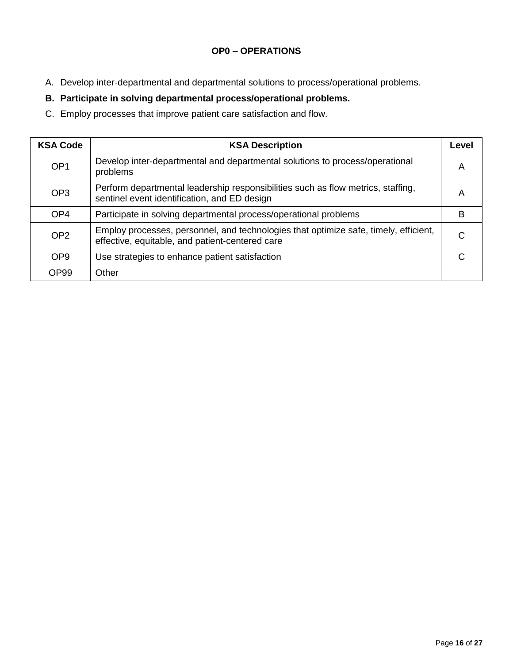# **OP0 – OPERATIONS**

A. Develop inter‐departmental and departmental solutions to process/operational problems.

# **B. Participate in solving departmental process/operational problems.**

C. Employ processes that improve patient care satisfaction and flow.

| <b>KSA Code</b>  | <b>KSA Description</b>                                                                                                                  | Level |
|------------------|-----------------------------------------------------------------------------------------------------------------------------------------|-------|
| OP <sub>1</sub>  | Develop inter-departmental and departmental solutions to process/operational<br>problems                                                | Α     |
| OP <sub>3</sub>  | Perform departmental leadership responsibilities such as flow metrics, staffing,<br>sentinel event identification, and ED design        | A     |
| OP <sub>4</sub>  | Participate in solving departmental process/operational problems                                                                        | B     |
| OP <sub>2</sub>  | Employ processes, personnel, and technologies that optimize safe, timely, efficient,<br>effective, equitable, and patient-centered care | C     |
| OP <sub>9</sub>  | Use strategies to enhance patient satisfaction                                                                                          |       |
| OP <sub>99</sub> | Other                                                                                                                                   |       |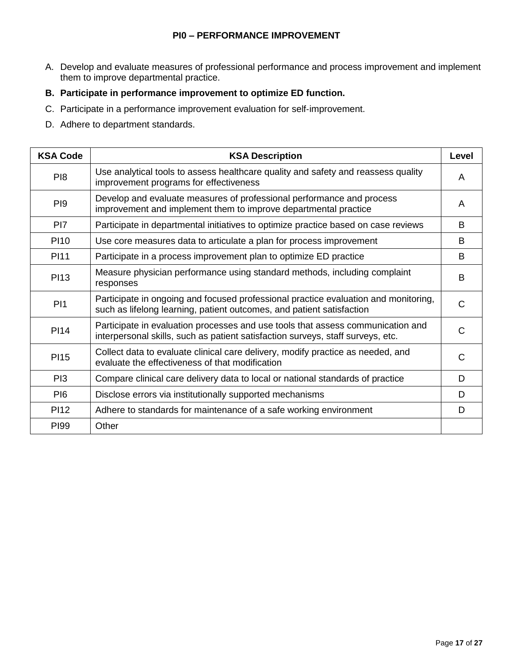- A. Develop and evaluate measures of professional performance and process improvement and implement them to improve departmental practice.
- **B. Participate in performance improvement to optimize ED function.**
- C. Participate in a performance improvement evaluation for self‐improvement.
- D. Adhere to department standards.

| <b>KSA Code</b> | <b>KSA Description</b>                                                                                                                                             | Level |
|-----------------|--------------------------------------------------------------------------------------------------------------------------------------------------------------------|-------|
| P <sub>18</sub> | Use analytical tools to assess healthcare quality and safety and reassess quality<br>improvement programs for effectiveness                                        | A     |
| P <sub>19</sub> | Develop and evaluate measures of professional performance and process<br>improvement and implement them to improve departmental practice                           | A     |
| P <sub>17</sub> | Participate in departmental initiatives to optimize practice based on case reviews                                                                                 | B     |
| <b>PI10</b>     | Use core measures data to articulate a plan for process improvement                                                                                                | B     |
| <b>PI11</b>     | Participate in a process improvement plan to optimize ED practice                                                                                                  | B     |
| <b>PI13</b>     | Measure physician performance using standard methods, including complaint<br>responses                                                                             | B     |
| PI1             | Participate in ongoing and focused professional practice evaluation and monitoring,<br>such as lifelong learning, patient outcomes, and patient satisfaction       | C     |
| <b>PI14</b>     | Participate in evaluation processes and use tools that assess communication and<br>interpersonal skills, such as patient satisfaction surveys, staff surveys, etc. | C     |
| <b>PI15</b>     | Collect data to evaluate clinical care delivery, modify practice as needed, and<br>evaluate the effectiveness of that modification                                 | C     |
| PI <sub>3</sub> | Compare clinical care delivery data to local or national standards of practice                                                                                     | D     |
| PI <sub>6</sub> | Disclose errors via institutionally supported mechanisms                                                                                                           | D     |
| <b>PI12</b>     | Adhere to standards for maintenance of a safe working environment                                                                                                  | D     |
| <b>PI99</b>     | Other                                                                                                                                                              |       |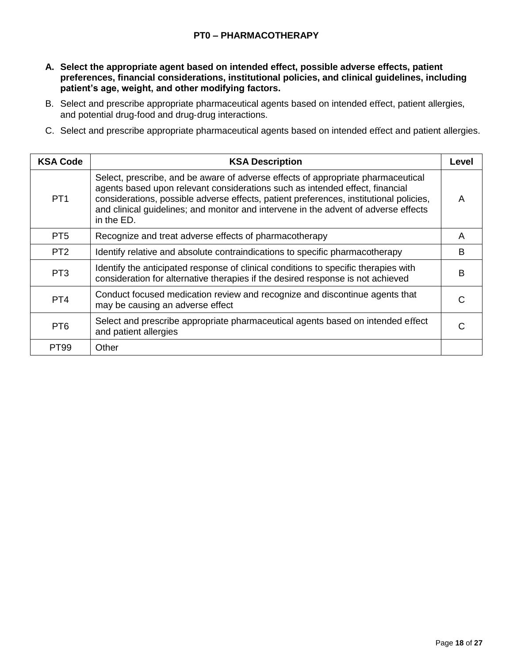#### **PT0 – PHARMACOTHERAPY**

- **A. Select the appropriate agent based on intended effect, possible adverse effects, patient preferences, financial considerations, institutional policies, and clinical guidelines, including patient's age, weight, and other modifying factors.**
- B. Select and prescribe appropriate pharmaceutical agents based on intended effect, patient allergies, and potential drug‐food and drug‐drug interactions.
- C. Select and prescribe appropriate pharmaceutical agents based on intended effect and patient allergies.

| <b>KSA Code</b> | <b>KSA Description</b>                                                                                                                                                                                                                                                                                                                                          | Level |
|-----------------|-----------------------------------------------------------------------------------------------------------------------------------------------------------------------------------------------------------------------------------------------------------------------------------------------------------------------------------------------------------------|-------|
| PT <sub>1</sub> | Select, prescribe, and be aware of adverse effects of appropriate pharmaceutical<br>agents based upon relevant considerations such as intended effect, financial<br>considerations, possible adverse effects, patient preferences, institutional policies,<br>and clinical quidelines; and monitor and intervene in the advent of adverse effects<br>in the ED. | A     |
| PT <sub>5</sub> | Recognize and treat adverse effects of pharmacotherapy                                                                                                                                                                                                                                                                                                          | A     |
| PT <sub>2</sub> | Identify relative and absolute contraindications to specific pharmacotherapy                                                                                                                                                                                                                                                                                    | B     |
| PT <sub>3</sub> | Identify the anticipated response of clinical conditions to specific therapies with<br>consideration for alternative therapies if the desired response is not achieved                                                                                                                                                                                          | B     |
| PT <sub>4</sub> | Conduct focused medication review and recognize and discontinue agents that<br>may be causing an adverse effect                                                                                                                                                                                                                                                 | C     |
| PT <sub>6</sub> | Select and prescribe appropriate pharmaceutical agents based on intended effect<br>and patient allergies                                                                                                                                                                                                                                                        |       |
| <b>PT99</b>     | Other                                                                                                                                                                                                                                                                                                                                                           |       |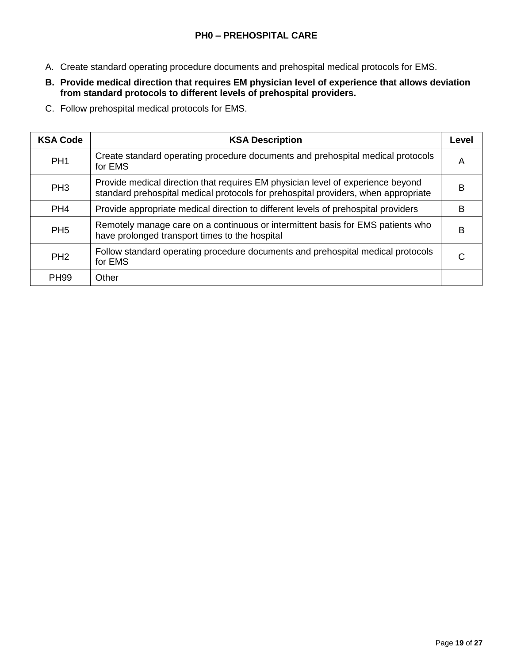- A. Create standard operating procedure documents and prehospital medical protocols for EMS.
- **B. Provide medical direction that requires EM physician level of experience that allows deviation from standard protocols to different levels of prehospital providers.**
- C. Follow prehospital medical protocols for EMS.

| <b>KSA Code</b> | <b>KSA Description</b>                                                                                                                                                | Level |
|-----------------|-----------------------------------------------------------------------------------------------------------------------------------------------------------------------|-------|
| PH <sub>1</sub> | Create standard operating procedure documents and prehospital medical protocols<br>for EMS                                                                            | A     |
| PH <sub>3</sub> | Provide medical direction that requires EM physician level of experience beyond<br>standard prehospital medical protocols for prehospital providers, when appropriate | в     |
| PH <sub>4</sub> | Provide appropriate medical direction to different levels of prehospital providers                                                                                    | в     |
| PH <sub>5</sub> | Remotely manage care on a continuous or intermittent basis for EMS patients who<br>have prolonged transport times to the hospital                                     | в     |
| PH <sub>2</sub> | Follow standard operating procedure documents and prehospital medical protocols<br>for EMS                                                                            | U     |
| <b>PH99</b>     | Other                                                                                                                                                                 |       |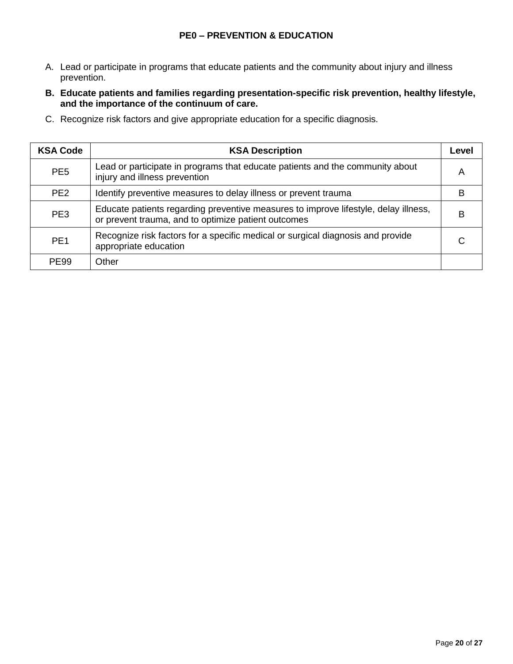# **PE0 – PREVENTION & EDUCATION**

- A. Lead or participate in programs that educate patients and the community about injury and illness prevention.
- **B. Educate patients and families regarding presentation-specific risk prevention, healthy lifestyle, and the importance of the continuum of care.**
- C. Recognize risk factors and give appropriate education for a specific diagnosis.

| <b>KSA Code</b> | <b>KSA Description</b>                                                                                                                     | Level |
|-----------------|--------------------------------------------------------------------------------------------------------------------------------------------|-------|
| PE <sub>5</sub> | Lead or participate in programs that educate patients and the community about<br>injury and illness prevention                             | A     |
| PE <sub>2</sub> | Identify preventive measures to delay illness or prevent trauma                                                                            | в     |
| PE <sub>3</sub> | Educate patients regarding preventive measures to improve lifestyle, delay illness,<br>or prevent trauma, and to optimize patient outcomes | в     |
| PE <sub>1</sub> | Recognize risk factors for a specific medical or surgical diagnosis and provide<br>appropriate education                                   |       |
| <b>PF99</b>     | Other                                                                                                                                      |       |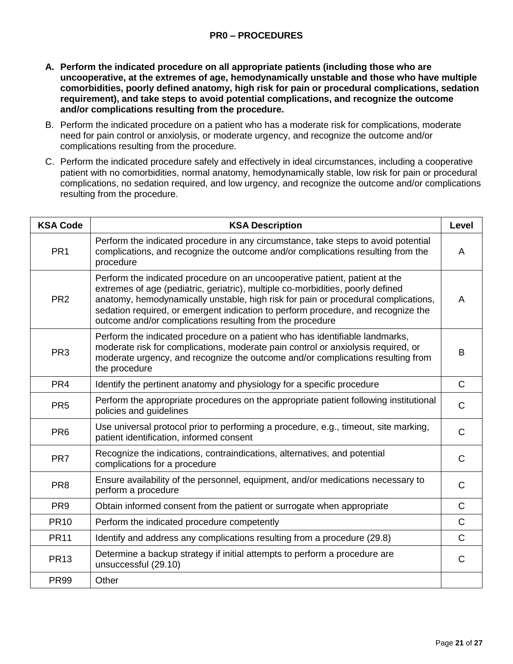#### **PR0 – PROCEDURES**

- **A. Perform the indicated procedure on all appropriate patients (including those who are uncooperative, at the extremes of age, hemodynamically unstable and those who have multiple comorbidities, poorly defined anatomy, high risk for pain or procedural complications, sedation requirement), and take steps to avoid potential complications, and recognize the outcome and/or complications resulting from the procedure.**
- B. Perform the indicated procedure on a patient who has a moderate risk for complications, moderate need for pain control or anxiolysis, or moderate urgency, and recognize the outcome and/or complications resulting from the procedure.
- C. Perform the indicated procedure safely and effectively in ideal circumstances, including a cooperative patient with no comorbidities, normal anatomy, hemodynamically stable, low risk for pain or procedural complications, no sedation required, and low urgency, and recognize the outcome and/or complications resulting from the procedure.

| <b>KSA Code</b> | <b>KSA Description</b>                                                                                                                                                                                                                                                                                                                                                                                 | Level          |
|-----------------|--------------------------------------------------------------------------------------------------------------------------------------------------------------------------------------------------------------------------------------------------------------------------------------------------------------------------------------------------------------------------------------------------------|----------------|
| PR <sub>1</sub> | Perform the indicated procedure in any circumstance, take steps to avoid potential<br>complications, and recognize the outcome and/or complications resulting from the<br>procedure                                                                                                                                                                                                                    | A              |
| PR <sub>2</sub> | Perform the indicated procedure on an uncooperative patient, patient at the<br>extremes of age (pediatric, geriatric), multiple co-morbidities, poorly defined<br>anatomy, hemodynamically unstable, high risk for pain or procedural complications,<br>sedation required, or emergent indication to perform procedure, and recognize the<br>outcome and/or complications resulting from the procedure | A              |
| PR <sub>3</sub> | Perform the indicated procedure on a patient who has identifiable landmarks,<br>moderate risk for complications, moderate pain control or anxiolysis required, or<br>moderate urgency, and recognize the outcome and/or complications resulting from<br>the procedure                                                                                                                                  | B              |
| PR <sub>4</sub> | Identify the pertinent anatomy and physiology for a specific procedure                                                                                                                                                                                                                                                                                                                                 | $\mathsf{C}$   |
| PR <sub>5</sub> | Perform the appropriate procedures on the appropriate patient following institutional<br>policies and guidelines                                                                                                                                                                                                                                                                                       | $\mathsf{C}$   |
| PR <sub>6</sub> | Use universal protocol prior to performing a procedure, e.g., timeout, site marking,<br>patient identification, informed consent                                                                                                                                                                                                                                                                       | $\mathsf{C}$   |
| PR <sub>7</sub> | Recognize the indications, contraindications, alternatives, and potential<br>complications for a procedure                                                                                                                                                                                                                                                                                             | $\mathsf{C}$   |
| PR <sub>8</sub> | Ensure availability of the personnel, equipment, and/or medications necessary to<br>perform a procedure                                                                                                                                                                                                                                                                                                | $\overline{C}$ |
| PR <sub>9</sub> | Obtain informed consent from the patient or surrogate when appropriate                                                                                                                                                                                                                                                                                                                                 | $\mathsf{C}$   |
| <b>PR10</b>     | Perform the indicated procedure competently                                                                                                                                                                                                                                                                                                                                                            | $\mathsf{C}$   |
| <b>PR11</b>     | Identify and address any complications resulting from a procedure (29.8)                                                                                                                                                                                                                                                                                                                               | $\mathsf{C}$   |
| <b>PR13</b>     | Determine a backup strategy if initial attempts to perform a procedure are<br>unsuccessful (29.10)                                                                                                                                                                                                                                                                                                     | $\mathsf{C}$   |
| <b>PR99</b>     | Other                                                                                                                                                                                                                                                                                                                                                                                                  |                |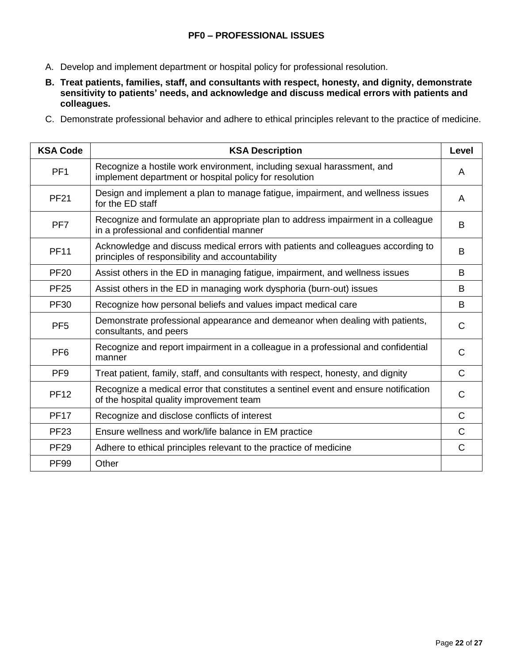#### **PF0 – PROFESSIONAL ISSUES**

- A. Develop and implement department or hospital policy for professional resolution.
- **B. Treat patients, families, staff, and consultants with respect, honesty, and dignity, demonstrate sensitivity to patients' needs, and acknowledge and discuss medical errors with patients and colleagues.**
- C. Demonstrate professional behavior and adhere to ethical principles relevant to the practice of medicine.

| <b>KSA Code</b> | <b>KSA Description</b>                                                                                                              | Level        |
|-----------------|-------------------------------------------------------------------------------------------------------------------------------------|--------------|
| PF <sub>1</sub> | Recognize a hostile work environment, including sexual harassment, and<br>implement department or hospital policy for resolution    | A            |
| <b>PF21</b>     | Design and implement a plan to manage fatigue, impairment, and wellness issues<br>for the ED staff                                  | A            |
| PF <sub>7</sub> | Recognize and formulate an appropriate plan to address impairment in a colleague<br>in a professional and confidential manner       | B            |
| <b>PF11</b>     | Acknowledge and discuss medical errors with patients and colleagues according to<br>principles of responsibility and accountability | B            |
| <b>PF20</b>     | Assist others in the ED in managing fatigue, impairment, and wellness issues                                                        | B            |
| <b>PF25</b>     | Assist others in the ED in managing work dysphoria (burn-out) issues                                                                | B            |
| <b>PF30</b>     | Recognize how personal beliefs and values impact medical care                                                                       | B            |
| PF <sub>5</sub> | Demonstrate professional appearance and demeanor when dealing with patients,<br>consultants, and peers                              | $\mathsf{C}$ |
| PF <sub>6</sub> | Recognize and report impairment in a colleague in a professional and confidential<br>manner                                         | $\mathsf{C}$ |
| PF <sub>9</sub> | Treat patient, family, staff, and consultants with respect, honesty, and dignity                                                    | $\mathsf{C}$ |
| <b>PF12</b>     | Recognize a medical error that constitutes a sentinel event and ensure notification<br>of the hospital quality improvement team     | $\mathsf{C}$ |
| <b>PF17</b>     | Recognize and disclose conflicts of interest                                                                                        | $\mathsf{C}$ |
| <b>PF23</b>     | Ensure wellness and work/life balance in EM practice                                                                                | $\mathsf{C}$ |
| <b>PF29</b>     | Adhere to ethical principles relevant to the practice of medicine                                                                   | C            |
| <b>PF99</b>     | Other                                                                                                                               |              |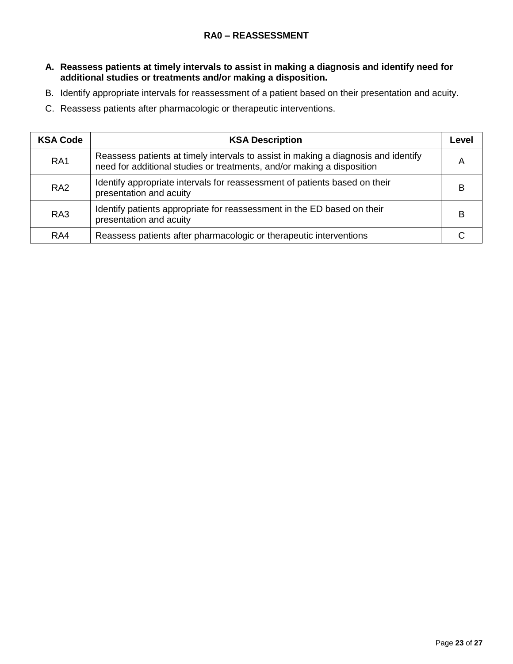- **A. Reassess patients at timely intervals to assist in making a diagnosis and identify need for additional studies or treatments and/or making a disposition.**
- B. Identify appropriate intervals for reassessment of a patient based on their presentation and acuity.
- C. Reassess patients after pharmacologic or therapeutic interventions.

| <b>KSA Code</b> | <b>KSA Description</b>                                                                                                                                       | Level |
|-----------------|--------------------------------------------------------------------------------------------------------------------------------------------------------------|-------|
| RA <sub>1</sub> | Reassess patients at timely intervals to assist in making a diagnosis and identify<br>need for additional studies or treatments, and/or making a disposition | А     |
| RA <sub>2</sub> | Identify appropriate intervals for reassessment of patients based on their<br>presentation and acuity                                                        |       |
| RA3             | Identify patients appropriate for reassessment in the ED based on their<br>presentation and acuity                                                           |       |
| RA4             | Reassess patients after pharmacologic or therapeutic interventions                                                                                           |       |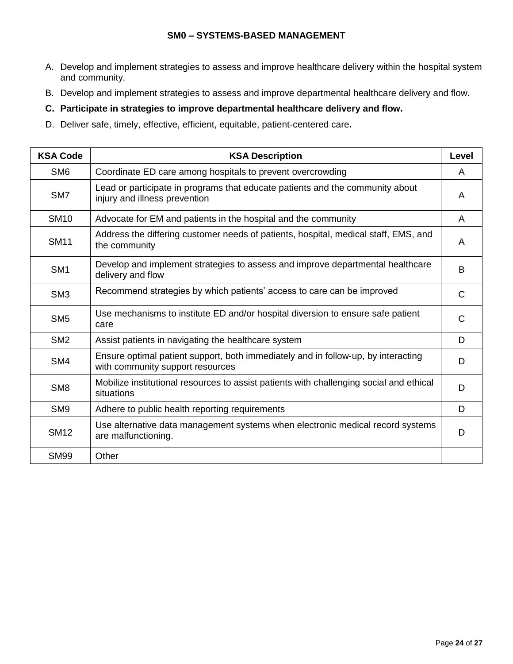#### **SM0 – SYSTEMS-BASED MANAGEMENT**

- A. Develop and implement strategies to assess and improve healthcare delivery within the hospital system and community.
- B. Develop and implement strategies to assess and improve departmental healthcare delivery and flow.

#### **C. Participate in strategies to improve departmental healthcare delivery and flow.**

D. Deliver safe, timely, effective, efficient, equitable, patient‐centered care**.**

| <b>KSA Code</b> | <b>KSA Description</b>                                                                                                | Level        |
|-----------------|-----------------------------------------------------------------------------------------------------------------------|--------------|
| SM <sub>6</sub> | Coordinate ED care among hospitals to prevent overcrowding                                                            | A            |
| SM7             | Lead or participate in programs that educate patients and the community about<br>injury and illness prevention        | A            |
| <b>SM10</b>     | Advocate for EM and patients in the hospital and the community                                                        | A            |
| <b>SM11</b>     | Address the differing customer needs of patients, hospital, medical staff, EMS, and<br>the community                  | A            |
| SM <sub>1</sub> | Develop and implement strategies to assess and improve departmental healthcare<br>delivery and flow                   | B            |
| SM <sub>3</sub> | Recommend strategies by which patients' access to care can be improved                                                | $\mathsf{C}$ |
| SM <sub>5</sub> | Use mechanisms to institute ED and/or hospital diversion to ensure safe patient<br>care                               | $\mathsf{C}$ |
| SM <sub>2</sub> | Assist patients in navigating the healthcare system                                                                   | D            |
| SM4             | Ensure optimal patient support, both immediately and in follow-up, by interacting<br>with community support resources | D            |
| SM <sub>8</sub> | Mobilize institutional resources to assist patients with challenging social and ethical<br>situations                 | D            |
| SM <sub>9</sub> | Adhere to public health reporting requirements                                                                        | D            |
| <b>SM12</b>     | Use alternative data management systems when electronic medical record systems<br>are malfunctioning.                 | D            |
| <b>SM99</b>     | Other                                                                                                                 |              |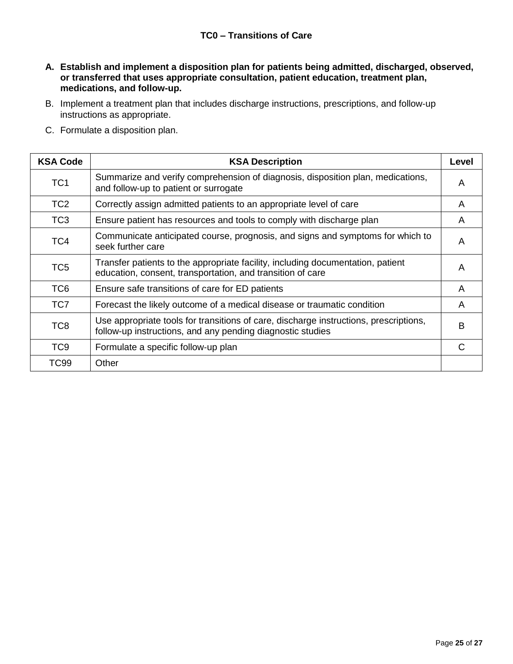- **A. Establish and implement a disposition plan for patients being admitted, discharged, observed, or transferred that uses appropriate consultation, patient education, treatment plan, medications, and follow-up.**
- B. Implement a treatment plan that includes discharge instructions, prescriptions, and follow‐up instructions as appropriate.
- C. Formulate a disposition plan.

| <b>KSA Code</b> | <b>KSA Description</b>                                                                                                                              | Level |
|-----------------|-----------------------------------------------------------------------------------------------------------------------------------------------------|-------|
| TC <sub>1</sub> | Summarize and verify comprehension of diagnosis, disposition plan, medications,<br>and follow-up to patient or surrogate                            | A     |
| TC <sub>2</sub> | Correctly assign admitted patients to an appropriate level of care                                                                                  | A     |
| TC <sub>3</sub> | Ensure patient has resources and tools to comply with discharge plan                                                                                | A     |
| TC4             | Communicate anticipated course, prognosis, and signs and symptoms for which to<br>seek further care                                                 | A     |
| TC <sub>5</sub> | Transfer patients to the appropriate facility, including documentation, patient<br>education, consent, transportation, and transition of care       | A     |
| TC <sub>6</sub> | Ensure safe transitions of care for ED patients                                                                                                     | A     |
| TC7             | Forecast the likely outcome of a medical disease or traumatic condition                                                                             | A     |
| TC <sub>8</sub> | Use appropriate tools for transitions of care, discharge instructions, prescriptions,<br>follow-up instructions, and any pending diagnostic studies | В     |
| TC <sub>9</sub> | Formulate a specific follow-up plan                                                                                                                 | C     |
| <b>TC99</b>     | Other                                                                                                                                               |       |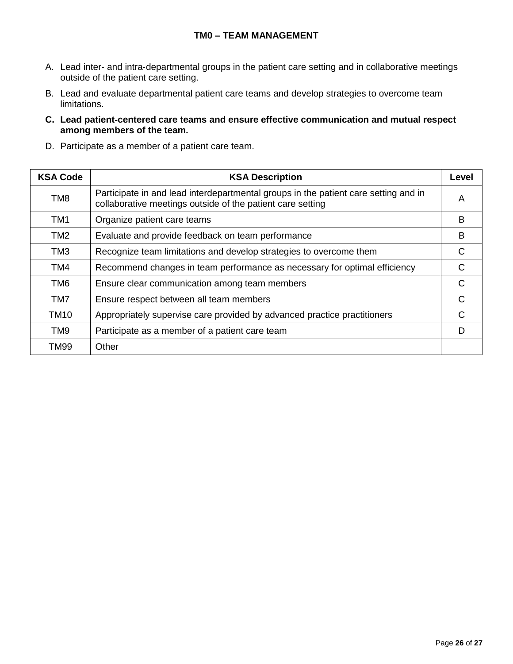#### **TM0 – TEAM MANAGEMENT**

- A. Lead inter‐ and intra‐departmental groups in the patient care setting and in collaborative meetings outside of the patient care setting.
- B. Lead and evaluate departmental patient care teams and develop strategies to overcome team limitations.
- **C. Lead patient**‐**centered care teams and ensure effective communication and mutual respect among members of the team.**
- D. Participate as a member of a patient care team.

| <b>KSA Code</b> | <b>KSA Description</b>                                                                                                                            | Level |
|-----------------|---------------------------------------------------------------------------------------------------------------------------------------------------|-------|
| TM <sub>8</sub> | Participate in and lead interdepartmental groups in the patient care setting and in<br>collaborative meetings outside of the patient care setting | A     |
| TM <sub>1</sub> | Organize patient care teams                                                                                                                       | B     |
| TM <sub>2</sub> | Evaluate and provide feedback on team performance                                                                                                 | в     |
| TM3             | Recognize team limitations and develop strategies to overcome them                                                                                | C     |
| TM4             | Recommend changes in team performance as necessary for optimal efficiency                                                                         | C     |
| TM <sub>6</sub> | Ensure clear communication among team members                                                                                                     | C     |
| TM7             | Ensure respect between all team members                                                                                                           | C     |
| <b>TM10</b>     | Appropriately supervise care provided by advanced practice practitioners                                                                          |       |
| TM <sub>9</sub> | Participate as a member of a patient care team                                                                                                    | D     |
| TM99            | Other                                                                                                                                             |       |